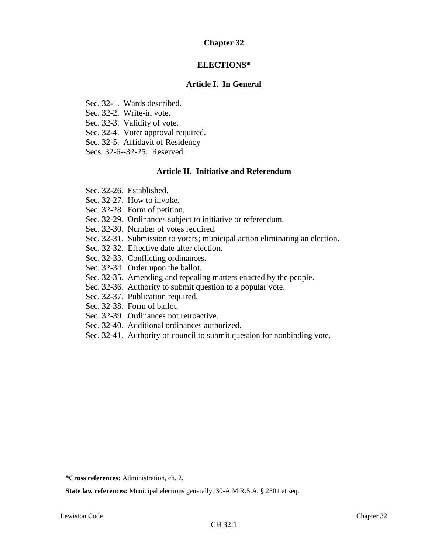# **Chapter 32**

# **ELECTIONS\***

# **Article I. In General**

- Sec. 32-1. Wards described.
- Sec. 32-2. Write-in vote.
- Sec. 32-3. Validity of vote.
- Sec. 32-4. Voter approval required.
- Sec. 32-5. Affidavit of Residency
- Secs. 32-6--32-25. Reserved.

# **Article II. Initiative and Referendum**

- Sec. 32-26. Established.
- Sec. 32-27. How to invoke.
- Sec. 32-28. Form of petition.
- Sec. 32-29. Ordinances subject to initiative or referendum.
- Sec. 32-30. Number of votes required.
- Sec. 32-31. Submission to voters; municipal action eliminating an election.
- Sec. 32-32. Effective date after election.
- Sec. 32-33. Conflicting ordinances.
- Sec. 32-34. Order upon the ballot.
- Sec. 32-35. Amending and repealing matters enacted by the people.
- Sec. 32-36. Authority to submit question to a popular vote.
- Sec. 32-37. Publication required.
- Sec. 32-38. Form of ballot.
- Sec. 32-39. Ordinances not retroactive.
- Sec. 32-40. Additional ordinances authorized.
- Sec. 32-41. Authority of council to submit question for nonbinding vote.

**\*Cross references:** Administration, ch. 2.

**State law references:** Municipal elections generally, 30-A M.R.S.A. § 2501 et seq.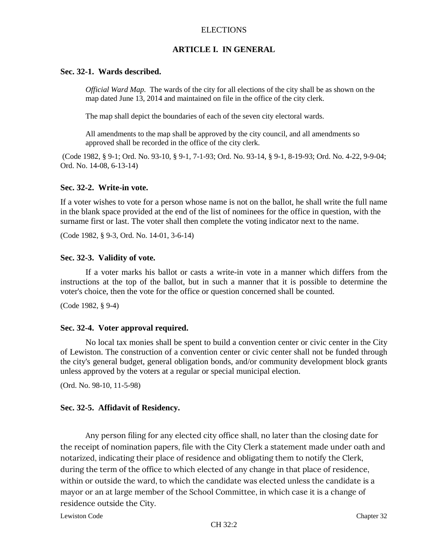### **ARTICLE I. IN GENERAL**

#### **Sec. 32-1. Wards described.**

*Official Ward Map.* The wards of the city for all elections of the city shall be as shown on the map dated June 13, 2014 and maintained on file in the office of the city clerk.

The map shall depict the boundaries of each of the seven city electoral wards.

All amendments to the map shall be approved by the city council, and all amendments so approved shall be recorded in the office of the city clerk.

(Code 1982, § 9-1; Ord. No. 93-10, § 9-1, 7-1-93; Ord. No. 93-14, § 9-1, 8-19-93; Ord. No. 4-22, 9-9-04; Ord. No. 14-08, 6-13-14)

#### **Sec. 32-2. Write-in vote.**

If a voter wishes to vote for a person whose name is not on the ballot, he shall write the full name in the blank space provided at the end of the list of nominees for the office in question, with the surname first or last. The voter shall then complete the voting indicator next to the name.

(Code 1982, § 9-3, Ord. No. 14-01, 3-6-14)

# **Sec. 32-3. Validity of vote.**

If a voter marks his ballot or casts a write-in vote in a manner which differs from the instructions at the top of the ballot, but in such a manner that it is possible to determine the voter's choice, then the vote for the office or question concerned shall be counted.

(Code 1982, § 9-4)

#### **Sec. 32-4. Voter approval required.**

No local tax monies shall be spent to build a convention center or civic center in the City of Lewiston. The construction of a convention center or civic center shall not be funded through the city's general budget, general obligation bonds, and/or community development block grants unless approved by the voters at a regular or special municipal election.

(Ord. No. 98-10, 11-5-98)

#### **Sec. 32-5. Affidavit of Residency.**

Any person filing for any elected city office shall, no later than the closing date for the receipt of nomination papers, file with the City Clerk a statement made under oath and notarized, indicating their place of residence and obligating them to notify the Clerk, during the term of the office to which elected of any change in that place of residence, within or outside the ward, to which the candidate was elected unless the candidate is a mayor or an at large member of the School Committee, in which case it is a change of residence outside the City.

Lewiston Code Chapter 32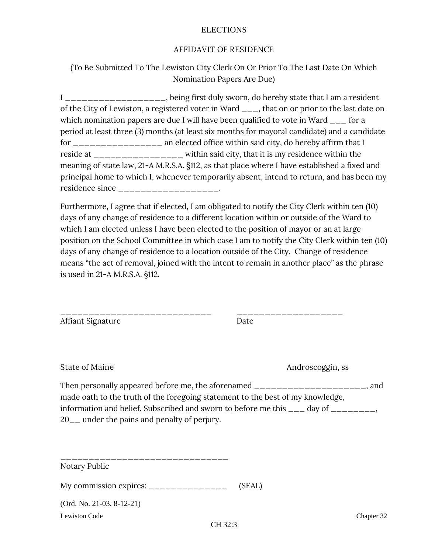# **AFFIDAVIT OF RESIDENCE**

(To Be Submitted To The Lewiston City Clerk On Or Prior To The Last Date On Which Nomination Papers Are Due)

I \_\_\_\_\_\_\_\_\_\_\_\_\_\_\_\_, being first duly sworn, do hereby state that I am a resident of the City of Lewiston, a registered voter in Ward <sub>\_\_\_</sub>, that on or prior to the last date on which nomination papers are due I will have been qualified to vote in Ward  $\frac{1}{\sqrt{2}}$  for a period at least three (3) months (at least six months for mayoral candidate) and a candidate for \_\_\_\_\_\_\_\_\_\_\_\_\_\_ an elected office within said city, do hereby affirm that I reside at \_\_\_\_\_\_\_\_\_\_\_\_\_\_\_\_ within said city, that it is my residence within the meaning of state law, 21-A M.R.S.A. §112, as that place where I have established a fixed and principal home to which I, whenever temporarily absent, intend to return, and has been my residence since \_\_\_\_\_\_\_\_\_\_\_\_\_\_\_\_\_\_\_.

Furthermore, I agree that if elected, I am obligated to notify the City Clerk within ten (10) days of any change of residence to a different location within or outside of the Ward to which I am elected unless I have been elected to the position of mayor or an at large position on the School Committee in which case I am to notify the City Clerk within ten (10) days of any change of residence to a location outside of the City. Change of residence means "the act of removal, joined with the intent to remain in another place" as the phrase is used in 21-A M.R.S.A. §112.

| Affiant Signature | Date |
|-------------------|------|
|                   |      |

\_\_\_\_\_\_\_\_\_\_\_\_\_\_\_\_\_\_\_\_\_\_\_\_\_\_\_ \_\_\_\_\_\_\_\_\_\_\_\_\_\_\_\_\_\_\_

**State of Maine Androscoggin, ss**

Then personally appeared before me, the aforenamed \_\_\_\_\_\_\_\_\_\_\_\_\_\_\_\_\_\_\_\_\_, and made oath to the truth of the foregoing statement to the best of my knowledge, information and belief. Subscribed and sworn to before me this  $\frac{1}{\sqrt{2}}$  day of  $\frac{1}{\sqrt{2}}$ 20\_\_ under the pains and penalty of perjury.

| Notary Public                          |        |            |
|----------------------------------------|--------|------------|
| My commission expires: $\frac{\ }{\ }$ | (SEAL) |            |
| $(Ord. No. 21-03, 8-12-21)$            |        |            |
| <b>Lewiston Code</b>                   |        | Chapter 32 |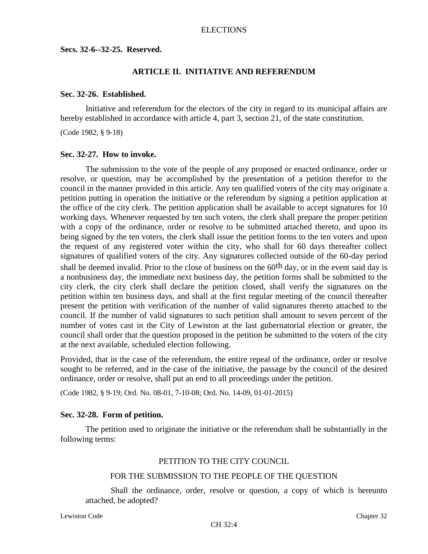**Secs. 32-6--32-25. Reserved.**

#### **ARTICLE II. INITIATIVE AND REFERENDUM**

#### **Sec. 32-26. Established.**

Initiative and referendum for the electors of the city in regard to its municipal affairs are hereby established in accordance with article 4, part 3, section 21, of the state constitution.

(Code 1982, § 9-18)

### **Sec. 32-27. How to invoke.**

The submission to the vote of the people of any proposed or enacted ordinance, order or resolve, or question, may be accomplished by the presentation of a petition therefor to the council in the manner provided in this article. Any ten qualified voters of the city may originate a petition putting in operation the initiative or the referendum by signing a petition application at the office of the city clerk. The petition application shall be available to accept signatures for 10 working days. Whenever requested by ten such voters, the clerk shall prepare the proper petition with a copy of the ordinance, order or resolve to be submitted attached thereto, and upon its being signed by the ten voters, the clerk shall issue the petition forms to the ten voters and upon the request of any registered voter within the city, who shall for 60 days thereafter collect signatures of qualified voters of the city. Any signatures collected outside of the 60-day period shall be deemed invalid. Prior to the close of business on the 60<sup>th</sup> day, or in the event said day is a nonbusiness day, the immediate next business day, the petition forms shall be submitted to the city clerk, the city clerk shall declare the petition closed, shall verify the signatures on the petition within ten business days, and shall at the first regular meeting of the council thereafter present the petition with verification of the number of valid signatures thereto attached to the council. If the number of valid signatures to such petition shall amount to seven percent of the number of votes cast in the City of Lewiston at the last gubernatorial election or greater, the council shall order that the question proposed in the petition be submitted to the voters of the city at the next available, scheduled election following.

Provided, that in the case of the referendum, the entire repeal of the ordinance, order or resolve sought to be referred, and in the case of the initiative, the passage by the council of the desired ordinance, order or resolve, shall put an end to all proceedings under the petition.

(Code 1982, § 9-19; Ord. No. 08-01, 7-10-08; Ord. No. 14-09, 01-01-2015)

#### **Sec. 32-28. Form of petition.**

The petition used to originate the initiative or the referendum shall be substantially in the following terms:

#### PETITION TO THE CITY COUNCIL

#### FOR THE SUBMISSION TO THE PEOPLE OF THE QUESTION

Shall the ordinance, order, resolve or question, a copy of which is hereunto attached, be adopted?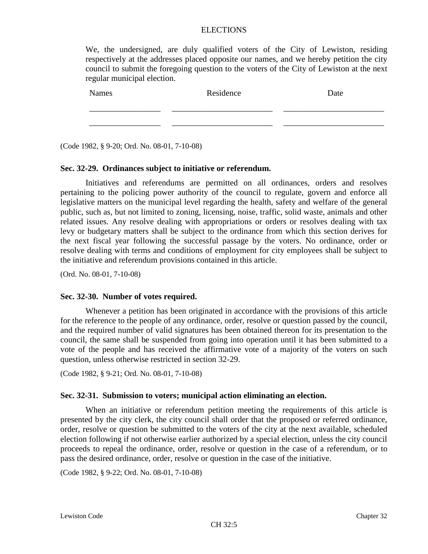|                                                                                            |  | We, the undersigned, are duly qualified voters of the City of Lewiston, residing         |  |  |  |  |  |  |  |
|--------------------------------------------------------------------------------------------|--|------------------------------------------------------------------------------------------|--|--|--|--|--|--|--|
|                                                                                            |  | respectively at the addresses placed opposite our names, and we hereby petition the city |  |  |  |  |  |  |  |
| council to submit the foregoing question to the voters of the City of Lewiston at the next |  |                                                                                          |  |  |  |  |  |  |  |
| regular municipal election.                                                                |  |                                                                                          |  |  |  |  |  |  |  |

| Names | Residence | Date |
|-------|-----------|------|
|       |           |      |
|       |           |      |

(Code 1982, § 9-20; Ord. No. 08-01, 7-10-08)

#### **Sec. 32-29. Ordinances subject to initiative or referendum.**

Initiatives and referendums are permitted on all ordinances, orders and resolves pertaining to the policing power authority of the council to regulate, govern and enforce all legislative matters on the municipal level regarding the health, safety and welfare of the general public, such as, but not limited to zoning, licensing, noise, traffic, solid waste, animals and other related issues. Any resolve dealing with appropriations or orders or resolves dealing with tax levy or budgetary matters shall be subject to the ordinance from which this section derives for the next fiscal year following the successful passage by the voters. No ordinance, order or resolve dealing with terms and conditions of employment for city employees shall be subject to the initiative and referendum provisions contained in this article.

(Ord. No. 08-01, 7-10-08)

#### **Sec. 32-30. Number of votes required.**

Whenever a petition has been originated in accordance with the provisions of this article for the reference to the people of any ordinance, order, resolve or question passed by the council, and the required number of valid signatures has been obtained thereon for its presentation to the council, the same shall be suspended from going into operation until it has been submitted to a vote of the people and has received the affirmative vote of a majority of the voters on such question, unless otherwise restricted in section 32-29.

(Code 1982, § 9-21; Ord. No. 08-01, 7-10-08)

#### **Sec. 32-31. Submission to voters; municipal action eliminating an election.**

When an initiative or referendum petition meeting the requirements of this article is presented by the city clerk, the city council shall order that the proposed or referred ordinance, order, resolve or question be submitted to the voters of the city at the next available, scheduled election following if not otherwise earlier authorized by a special election, unless the city council proceeds to repeal the ordinance, order, resolve or question in the case of a referendum, or to pass the desired ordinance, order, resolve or question in the case of the initiative.

(Code 1982, § 9-22; Ord. No. 08-01, 7-10-08)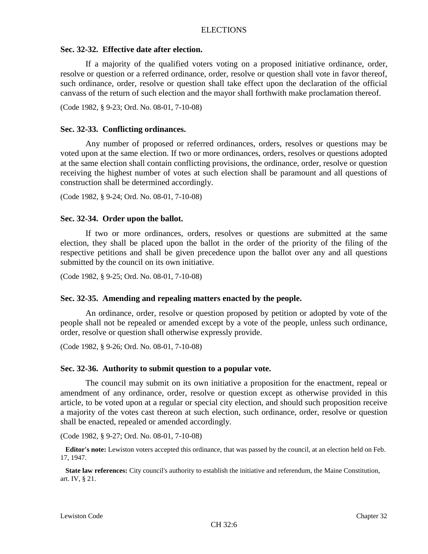# **Sec. 32-32. Effective date after election.**

If a majority of the qualified voters voting on a proposed initiative ordinance, order, resolve or question or a referred ordinance, order, resolve or question shall vote in favor thereof, such ordinance, order, resolve or question shall take effect upon the declaration of the official canvass of the return of such election and the mayor shall forthwith make proclamation thereof.

(Code 1982, § 9-23; Ord. No. 08-01, 7-10-08)

# **Sec. 32-33. Conflicting ordinances.**

Any number of proposed or referred ordinances, orders, resolves or questions may be voted upon at the same election. If two or more ordinances, orders, resolves or questions adopted at the same election shall contain conflicting provisions, the ordinance, order, resolve or question receiving the highest number of votes at such election shall be paramount and all questions of construction shall be determined accordingly.

(Code 1982, § 9-24; Ord. No. 08-01, 7-10-08)

## **Sec. 32-34. Order upon the ballot.**

If two or more ordinances, orders, resolves or questions are submitted at the same election, they shall be placed upon the ballot in the order of the priority of the filing of the respective petitions and shall be given precedence upon the ballot over any and all questions submitted by the council on its own initiative.

(Code 1982, § 9-25; Ord. No. 08-01, 7-10-08)

#### **Sec. 32-35. Amending and repealing matters enacted by the people.**

An ordinance, order, resolve or question proposed by petition or adopted by vote of the people shall not be repealed or amended except by a vote of the people, unless such ordinance, order, resolve or question shall otherwise expressly provide.

(Code 1982, § 9-26; Ord. No. 08-01, 7-10-08)

#### **Sec. 32-36. Authority to submit question to a popular vote.**

The council may submit on its own initiative a proposition for the enactment, repeal or amendment of any ordinance, order, resolve or question except as otherwise provided in this article, to be voted upon at a regular or special city election, and should such proposition receive a majority of the votes cast thereon at such election, such ordinance, order, resolve or question shall be enacted, repealed or amended accordingly.

(Code 1982, § 9-27; Ord. No. 08-01, 7-10-08)

**Editor's note:** Lewiston voters accepted this ordinance, that was passed by the council, at an election held on Feb. 17, 1947.

**State law references:** City council's authority to establish the initiative and referendum, the Maine Constitution, art. IV, § 21.